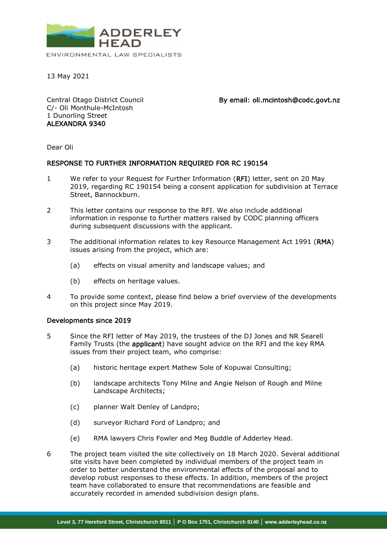

13 May 2021

Central Otago District Council C/- Oli Monthule-McIntosh 1 Dunorling Street ALEXANDRA 9340

By email: oli.mcintosh@codc.govt.nz

Dear Oli

## RESPONSE TO FURTHER INFORMATION REQUIRED FOR RC 190154

- 1 We refer to your Request for Further Information (RFI) letter, sent on 20 May 2019, regarding RC 190154 being a consent application for subdivision at Terrace Street, Bannockburn.
- 2 This letter contains our response to the RFI. We also include additional information in response to further matters raised by CODC planning officers during subsequent discussions with the applicant.
- 3 The additional information relates to key Resource Management Act 1991 (RMA) issues arising from the project, which are:
	- (a) effects on visual amenity and landscape values; and
	- (b) effects on heritage values.
- 4 To provide some context, please find below a brief overview of the developments on this project since May 2019.

## Developments since 2019

- 5 Since the RFI letter of May 2019, the trustees of the DJ Jones and NR Searell Family Trusts (the applicant) have sought advice on the RFI and the key RMA issues from their project team, who comprise:
	- (a) historic heritage expert Mathew Sole of Kopuwai Consulting;
	- (b) landscape architects Tony Milne and Angie Nelson of Rough and Milne Landscape Architects;
	- (c) planner Walt Denley of Landpro;
	- (d) surveyor Richard Ford of Landpro; and
	- (e) RMA lawyers Chris Fowler and Meg Buddle of Adderley Head.
- 6 The project team visited the site collectively on 18 March 2020. Several additional site visits have been completed by individual members of the project team in order to better understand the environmental effects of the proposal and to develop robust responses to these effects. In addition, members of the project team have collaborated to ensure that recommendations are feasible and accurately recorded in amended subdivision design plans.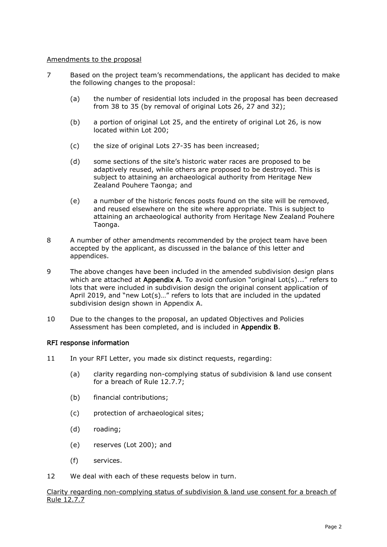## Amendments to the proposal

- 7 Based on the project team's recommendations, the applicant has decided to make the following changes to the proposal:
	- (a) the number of residential lots included in the proposal has been decreased from 38 to 35 (by removal of original Lots 26, 27 and 32);
	- (b) a portion of original Lot 25, and the entirety of original Lot 26, is now located within Lot 200;
	- (c) the size of original Lots 27-35 has been increased;
	- (d) some sections of the site's historic water races are proposed to be adaptively reused, while others are proposed to be destroyed. This is subject to attaining an archaeological authority from Heritage New Zealand Pouhere Taonga; and
	- (e) a number of the historic fences posts found on the site will be removed, and reused elsewhere on the site where appropriate. This is subject to attaining an archaeological authority from Heritage New Zealand Pouhere Taonga.
- 8 A number of other amendments recommended by the project team have been accepted by the applicant, as discussed in the balance of this letter and appendices.
- 9 The above changes have been included in the amended subdivision design plans which are attached at Appendix A. To avoid confusion "original Lot(s)..." refers to lots that were included in subdivision design the original consent application of April 2019, and "new Lot(s)…" refers to lots that are included in the updated subdivision design shown in Appendix A.
- 10 Due to the changes to the proposal, an updated Objectives and Policies Assessment has been completed, and is included in Appendix B.

## RFI response information

- 11 In your RFI Letter, you made six distinct requests, regarding:
	- (a) clarity regarding non-complying status of subdivision & land use consent for a breach of Rule 12.7.7;
	- (b) financial contributions;
	- (c) protection of archaeological sites;
	- (d) roading;
	- (e) reserves (Lot 200); and
	- (f) services.
- 12 We deal with each of these requests below in turn.

Clarity regarding non-complying status of subdivision & land use consent for a breach of Rule 12.7.7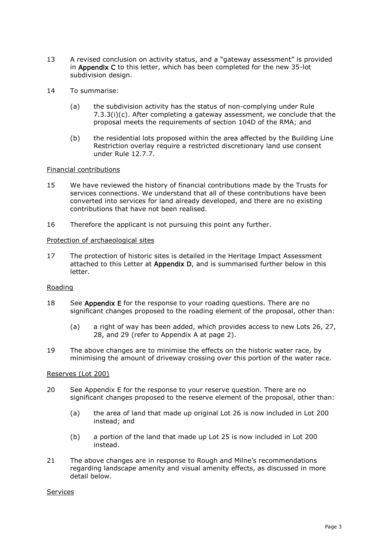- 13 A revised conclusion on activity status, and a "gateway assessment" is provided in Appendix C to this letter, which has been completed for the new 35-lot subdivision design.
- 14 To summarise:
	- (a) the subdivision activity has the status of non-complying under Rule  $7.3.3(i)(c)$ . After completing a gateway assessment, we conclude that the proposal meets the requirements of section 104D of the RMA; and
	- (b) the residential lots proposed within the area affected by the Building Line Restriction overlay require a restricted discretionary land use consent under Rule 12.7.7.

## Financial contributions

- 15 We have reviewed the history of financial contributions made by the Trusts for services connections. We understand that all of these contributions have been converted into services for land already developed, and there are no existing contributions that have not been realised.
- 16 Therefore the applicant is not pursuing this point any further.

## Protection of archaeological sites

17 The protection of historic sites is detailed in the Heritage Impact Assessment attached to this Letter at Appendix D, and is summarised further below in this letter.

# Roading

- 18 See Appendix E for the response to your roading questions. There are no significant changes proposed to the roading element of the proposal, other than:
	- (a) a right of way has been added, which provides access to new Lots 26, 27, 28, and 29 (refer to Appendix A at page 2).
- 19 The above changes are to minimise the effects on the historic water race, by minimising the amount of driveway crossing over this portion of the water race.

## Reserves (Lot 200)

- 20 See Appendix E for the response to your reserve question. There are no significant changes proposed to the reserve element of the proposal, other than:
	- (a) the area of land that made up original Lot 26 is now included in Lot 200 instead; and
	- (b) a portion of the land that made up Lot 25 is now included in Lot 200 instead.
- 21 The above changes are in response to Rough and Milne's recommendations regarding landscape amenity and visual amenity effects, as discussed in more detail below.

## Services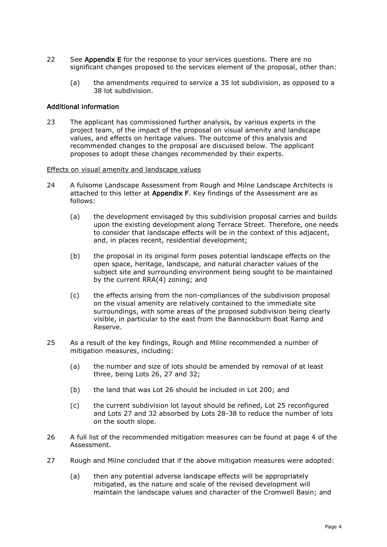- 22 See Appendix E for the response to your services questions. There are no significant changes proposed to the services element of the proposal, other than:
	- (a) the amendments required to service a 35 lot subdivision, as opposed to a 38 lot subdivision.

## Additional information

23 The applicant has commissioned further analysis, by various experts in the project team, of the impact of the proposal on visual amenity and landscape values, and effects on heritage values. The outcome of this analysis and recommended changes to the proposal are discussed below. The applicant proposes to adopt these changes recommended by their experts.

#### Effects on visual amenity and landscape values

- 24 A fulsome Landscape Assessment from Rough and Milne Landscape Architects is attached to this letter at Appendix F. Key findings of the Assessment are as follows:
	- (a) the development envisaged by this subdivision proposal carries and builds upon the existing development along Terrace Street. Therefore, one needs to consider that landscape effects will be in the context of this adjacent, and, in places recent, residential development;
	- (b) the proposal in its original form poses potential landscape effects on the open space, heritage, landscape, and natural character values of the subject site and surrounding environment being sought to be maintained by the current RRA(4) zoning; and
	- (c) the effects arising from the non-compliances of the subdivision proposal on the visual amenity are relatively contained to the immediate site surroundings, with some areas of the proposed subdivision being clearly visible, in particular to the east from the Bannockburn Boat Ramp and Reserve.
- 25 As a result of the key findings, Rough and Milne recommended a number of mitigation measures, including:
	- (a) the number and size of lots should be amended by removal of at least three, being Lots 26, 27 and 32;
	- (b) the land that was Lot 26 should be included in Lot 200; and
	- (c) the current subdivision lot layout should be refined, Lot 25 reconfigured and Lots 27 and 32 absorbed by Lots 28-38 to reduce the number of lots on the south slope.
- 26 A full list of the recommended mitigation measures can be found at page 4 of the Assessment.
- 27 Rough and Milne concluded that if the above mitigation measures were adopted:
	- (a) then any potential adverse landscape effects will be appropriately mitigated, as the nature and scale of the revised development will maintain the landscape values and character of the Cromwell Basin; and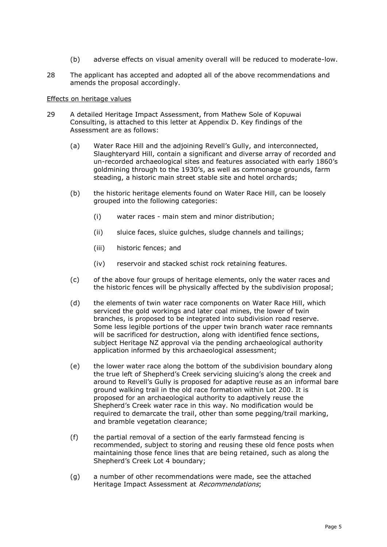- (b) adverse effects on visual amenity overall will be reduced to moderate-low.
- 28 The applicant has accepted and adopted all of the above recommendations and amends the proposal accordingly.

#### Effects on heritage values

- 29 A detailed Heritage Impact Assessment, from Mathew Sole of Kopuwai Consulting, is attached to this letter at Appendix D. Key findings of the Assessment are as follows:
	- (a) Water Race Hill and the adjoining Revell's Gully, and interconnected, Slaughteryard Hill, contain a significant and diverse array of recorded and un-recorded archaeological sites and features associated with early 1860's goldmining through to the 1930's, as well as commonage grounds, farm steading, a historic main street stable site and hotel orchards;
	- (b) the historic heritage elements found on Water Race Hill, can be loosely grouped into the following categories:
		- (i) water races main stem and minor distribution;
		- (ii) sluice faces, sluice gulches, sludge channels and tailings;
		- (iii) historic fences; and
		- (iv) reservoir and stacked schist rock retaining features.
	- (c) of the above four groups of heritage elements, only the water races and the historic fences will be physically affected by the subdivision proposal;
	- (d) the elements of twin water race components on Water Race Hill, which serviced the gold workings and later coal mines, the lower of twin branches, is proposed to be integrated into subdivision road reserve. Some less legible portions of the upper twin branch water race remnants will be sacrificed for destruction, along with identified fence sections, subject Heritage NZ approval via the pending archaeological authority application informed by this archaeological assessment;
	- (e) the lower water race along the bottom of the subdivision boundary along the true left of Shepherd's Creek servicing sluicing's along the creek and around to Revell's Gully is proposed for adaptive reuse as an informal bare ground walking trail in the old race formation within Lot 200. It is proposed for an archaeological authority to adaptively reuse the Shepherd's Creek water race in this way. No modification would be required to demarcate the trail, other than some pegging/trail marking, and bramble vegetation clearance;
	- (f) the partial removal of a section of the early farmstead fencing is recommended, subject to storing and reusing these old fence posts when maintaining those fence lines that are being retained, such as along the Shepherd's Creek Lot 4 boundary;
	- (g) a number of other recommendations were made, see the attached Heritage Impact Assessment at Recommendations;